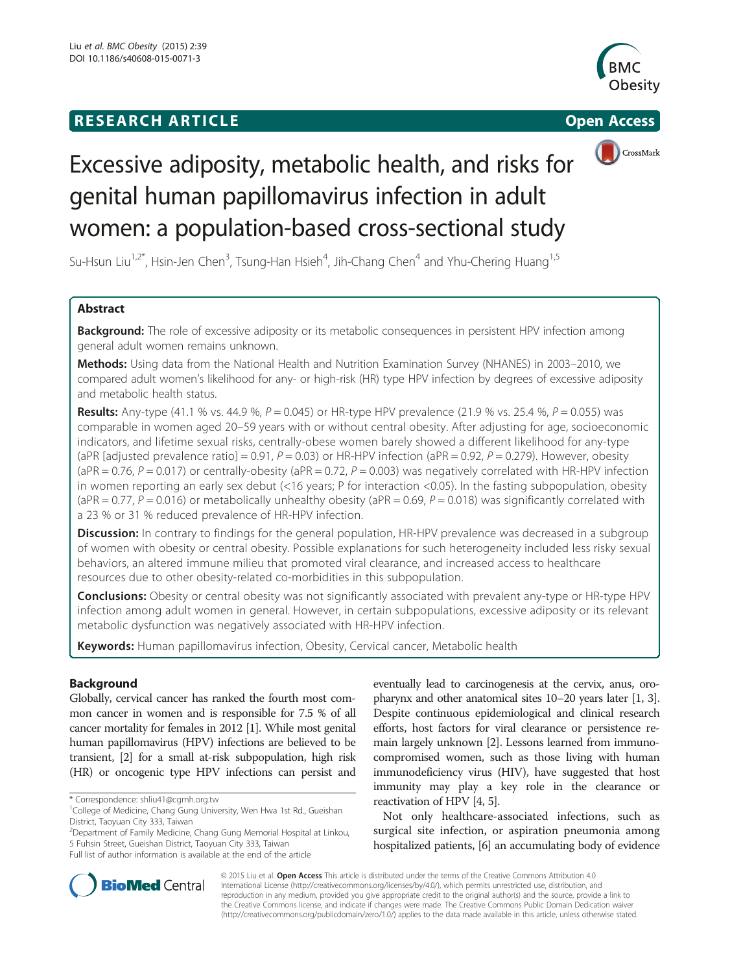# **RESEARCH ARTICLE Example 2014 12:30 The Contract of Contract ACCESS**







# Excessive adiposity, metabolic health, and risks for genital human papillomavirus infection in adult women: a population-based cross-sectional study

Su-Hsun Liu<sup>1,2\*</sup>, Hsin-Jen Chen<sup>3</sup>, Tsung-Han Hsieh<sup>4</sup>, Jih-Chang Chen<sup>4</sup> and Yhu-Chering Huang<sup>1,5</sup>

# Abstract

Background: The role of excessive adiposity or its metabolic consequences in persistent HPV infection among general adult women remains unknown.

Methods: Using data from the National Health and Nutrition Examination Survey (NHANES) in 2003–2010, we compared adult women's likelihood for any- or high-risk (HR) type HPV infection by degrees of excessive adiposity and metabolic health status.

**Results:** Any-type (41.1 % vs. 44.9 %,  $P = 0.045$ ) or HR-type HPV prevalence (21.9 % vs. 25.4 %,  $P = 0.055$ ) was comparable in women aged 20–59 years with or without central obesity. After adjusting for age, socioeconomic indicators, and lifetime sexual risks, centrally-obese women barely showed a different likelihood for any-type (aPR [adjusted prevalence ratio] = 0.91,  $P = 0.03$ ) or HR-HPV infection (aPR = 0.92,  $P = 0.279$ ). However, obesity  $(aPR = 0.76, P = 0.017)$  or centrally-obesity  $(aPR = 0.72, P = 0.003)$  was negatively correlated with HR-HPV infection in women reporting an early sex debut (<16 years; P for interaction <0.05). In the fasting subpopulation, obesity (aPR = 0.77,  $P = 0.016$ ) or metabolically unhealthy obesity (aPR = 0.69,  $P = 0.018$ ) was significantly correlated with a 23 % or 31 % reduced prevalence of HR-HPV infection.

**Discussion:** In contrary to findings for the general population, HR-HPV prevalence was decreased in a subgroup of women with obesity or central obesity. Possible explanations for such heterogeneity included less risky sexual behaviors, an altered immune milieu that promoted viral clearance, and increased access to healthcare resources due to other obesity-related co-morbidities in this subpopulation.

**Conclusions:** Obesity or central obesity was not significantly associated with prevalent any-type or HR-type HPV infection among adult women in general. However, in certain subpopulations, excessive adiposity or its relevant metabolic dysfunction was negatively associated with HR-HPV infection.

Keywords: Human papillomavirus infection, Obesity, Cervical cancer, Metabolic health

# Background

Globally, cervical cancer has ranked the fourth most common cancer in women and is responsible for 7.5 % of all cancer mortality for females in 2012 [[1](#page-7-0)]. While most genital human papillomavirus (HPV) infections are believed to be transient, [[2](#page-7-0)] for a small at-risk subpopulation, high risk (HR) or oncogenic type HPV infections can persist and

2 Department of Family Medicine, Chang Gung Memorial Hospital at Linkou, 5 Fuhsin Street, Gueishan District, Taoyuan City 333, Taiwan

eventually lead to carcinogenesis at the cervix, anus, oropharynx and other anatomical sites 10–20 years later [[1, 3](#page-7-0)]. Despite continuous epidemiological and clinical research efforts, host factors for viral clearance or persistence remain largely unknown [\[2\]](#page-7-0). Lessons learned from immunocompromised women, such as those living with human immunodeficiency virus (HIV), have suggested that host immunity may play a key role in the clearance or reactivation of HPV [[4, 5\]](#page-7-0).

Not only healthcare-associated infections, such as surgical site infection, or aspiration pneumonia among hospitalized patients, [\[6\]](#page-7-0) an accumulating body of evidence



© 2015 Liu et al. Open Access This article is distributed under the terms of the Creative Commons Attribution 4.0 International License [\(http://creativecommons.org/licenses/by/4.0/](http://creativecommons.org/licenses/by/4.0/)), which permits unrestricted use, distribution, and reproduction in any medium, provided you give appropriate credit to the original author(s) and the source, provide a link to the Creative Commons license, and indicate if changes were made. The Creative Commons Public Domain Dedication waiver [\(http://creativecommons.org/publicdomain/zero/1.0/](http://creativecommons.org/publicdomain/zero/1.0/)) applies to the data made available in this article, unless otherwise stated.

<sup>\*</sup> Correspondence: [shliu41@cgmh.org.tw](mailto:shliu41@cgmh.org.tw) <sup>1</sup>

<sup>&</sup>lt;sup>1</sup>College of Medicine, Chang Gung University, Wen Hwa 1st Rd., Gueishan District, Taoyuan City 333, Taiwan

Full list of author information is available at the end of the article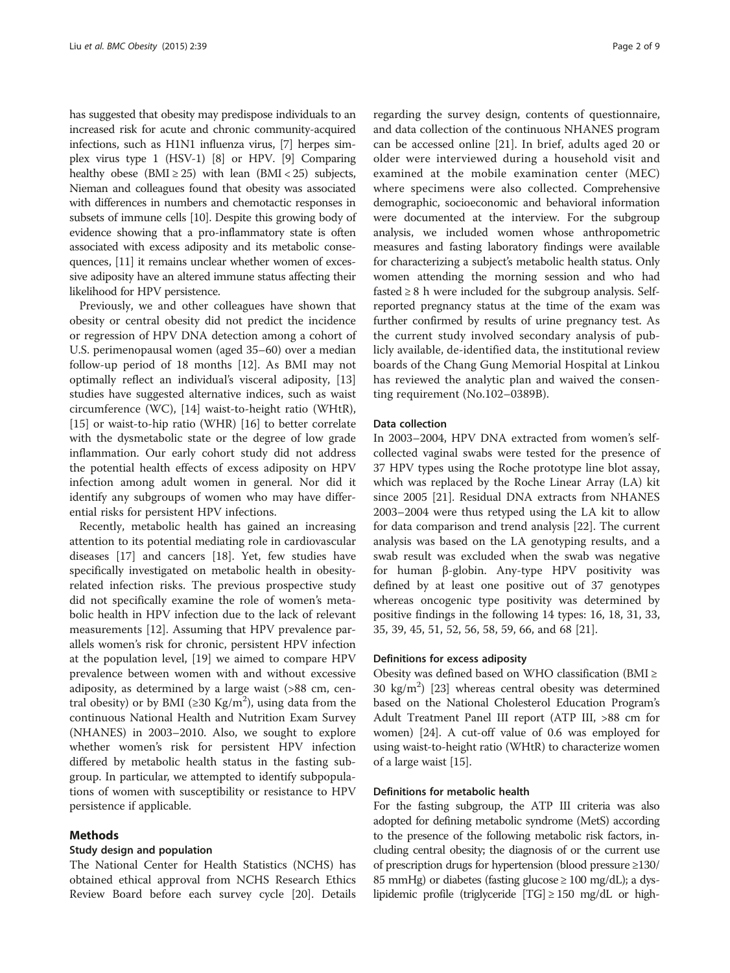has suggested that obesity may predispose individuals to an increased risk for acute and chronic community-acquired infections, such as H1N1 influenza virus, [\[7](#page-7-0)] herpes simplex virus type 1 (HSV-1) [\[8\]](#page-7-0) or HPV. [[9](#page-7-0)] Comparing healthy obese (BMI  $\geq$  25) with lean (BMI < 25) subjects, Nieman and colleagues found that obesity was associated with differences in numbers and chemotactic responses in subsets of immune cells [\[10\]](#page-7-0). Despite this growing body of evidence showing that a pro-inflammatory state is often associated with excess adiposity and its metabolic consequences, [\[11](#page-7-0)] it remains unclear whether women of excessive adiposity have an altered immune status affecting their likelihood for HPV persistence.

Previously, we and other colleagues have shown that obesity or central obesity did not predict the incidence or regression of HPV DNA detection among a cohort of U.S. perimenopausal women (aged 35–60) over a median follow-up period of 18 months [\[12\]](#page-7-0). As BMI may not optimally reflect an individual's visceral adiposity, [[13](#page-7-0)] studies have suggested alternative indices, such as waist circumference (WC), [[14](#page-7-0)] waist-to-height ratio (WHtR), [[15\]](#page-7-0) or waist-to-hip ratio (WHR) [[16](#page-7-0)] to better correlate with the dysmetabolic state or the degree of low grade inflammation. Our early cohort study did not address the potential health effects of excess adiposity on HPV infection among adult women in general. Nor did it identify any subgroups of women who may have differential risks for persistent HPV infections.

Recently, metabolic health has gained an increasing attention to its potential mediating role in cardiovascular diseases [[17\]](#page-7-0) and cancers [\[18](#page-7-0)]. Yet, few studies have specifically investigated on metabolic health in obesityrelated infection risks. The previous prospective study did not specifically examine the role of women's metabolic health in HPV infection due to the lack of relevant measurements [\[12](#page-7-0)]. Assuming that HPV prevalence parallels women's risk for chronic, persistent HPV infection at the population level, [[19\]](#page-7-0) we aimed to compare HPV prevalence between women with and without excessive adiposity, as determined by a large waist (>88 cm, central obesity) or by BMI (≥30 Kg/m<sup>2</sup>), using data from the continuous National Health and Nutrition Exam Survey (NHANES) in 2003–2010. Also, we sought to explore whether women's risk for persistent HPV infection differed by metabolic health status in the fasting subgroup. In particular, we attempted to identify subpopulations of women with susceptibility or resistance to HPV persistence if applicable.

# Methods

#### Study design and population

The National Center for Health Statistics (NCHS) has obtained ethical approval from NCHS Research Ethics Review Board before each survey cycle [\[20\]](#page-7-0). Details

regarding the survey design, contents of questionnaire, and data collection of the continuous NHANES program can be accessed online [[21\]](#page-7-0). In brief, adults aged 20 or older were interviewed during a household visit and examined at the mobile examination center (MEC) where specimens were also collected. Comprehensive demographic, socioeconomic and behavioral information were documented at the interview. For the subgroup analysis, we included women whose anthropometric measures and fasting laboratory findings were available for characterizing a subject's metabolic health status. Only women attending the morning session and who had fasted  $\geq 8$  h were included for the subgroup analysis. Selfreported pregnancy status at the time of the exam was further confirmed by results of urine pregnancy test. As the current study involved secondary analysis of publicly available, de-identified data, the institutional review boards of the Chang Gung Memorial Hospital at Linkou has reviewed the analytic plan and waived the consenting requirement (No.102–0389B).

## Data collection

In 2003–2004, HPV DNA extracted from women's selfcollected vaginal swabs were tested for the presence of 37 HPV types using the Roche prototype line blot assay, which was replaced by the Roche Linear Array (LA) kit since 2005 [[21\]](#page-7-0). Residual DNA extracts from NHANES 2003–2004 were thus retyped using the LA kit to allow for data comparison and trend analysis [\[22\]](#page-7-0). The current analysis was based on the LA genotyping results, and a swab result was excluded when the swab was negative for human β-globin. Any-type HPV positivity was defined by at least one positive out of 37 genotypes whereas oncogenic type positivity was determined by positive findings in the following 14 types: 16, 18, 31, 33, 35, 39, 45, 51, 52, 56, 58, 59, 66, and 68 [[21\]](#page-7-0).

#### Definitions for excess adiposity

Obesity was defined based on WHO classification (BMI ≥  $30 \text{ kg/m}^2$ ) [\[23](#page-7-0)] whereas central obesity was determined based on the National Cholesterol Education Program's Adult Treatment Panel III report (ATP III, >88 cm for women) [\[24](#page-7-0)]. A cut-off value of 0.6 was employed for using waist-to-height ratio (WHtR) to characterize women of a large waist [\[15\]](#page-7-0).

# Definitions for metabolic health

For the fasting subgroup, the ATP III criteria was also adopted for defining metabolic syndrome (MetS) according to the presence of the following metabolic risk factors, including central obesity; the diagnosis of or the current use of prescription drugs for hypertension (blood pressure ≥130/ 85 mmHg) or diabetes (fasting glucose  $\geq 100$  mg/dL); a dyslipidemic profile (triglyceride [TG] ≥ 150 mg/dL or high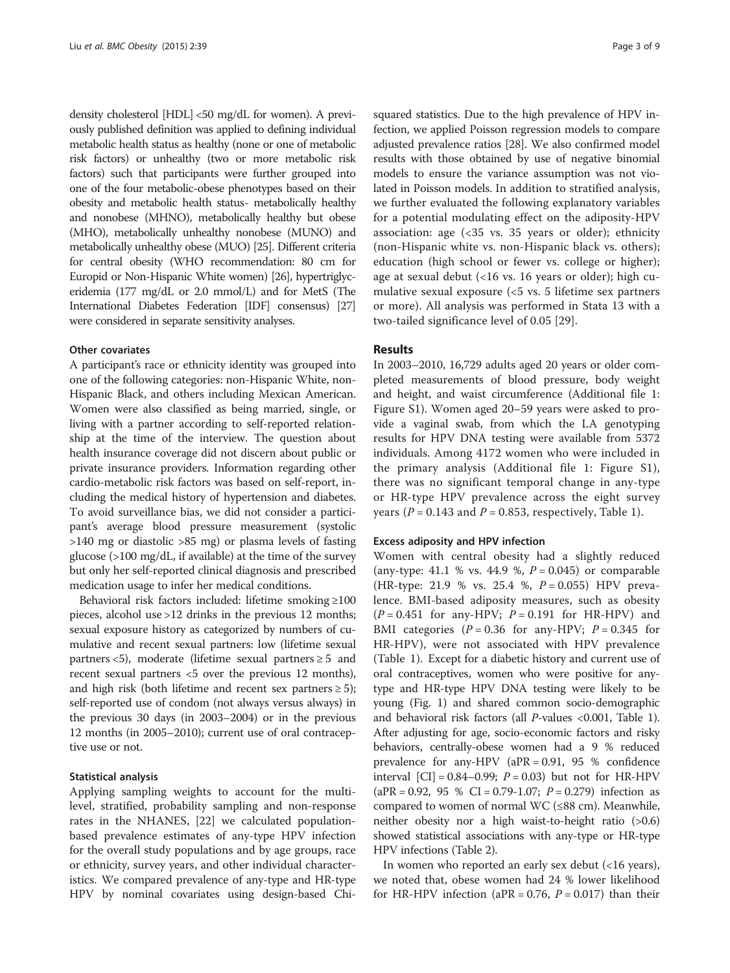density cholesterol [HDL] <50 mg/dL for women). A previously published definition was applied to defining individual metabolic health status as healthy (none or one of metabolic risk factors) or unhealthy (two or more metabolic risk factors) such that participants were further grouped into one of the four metabolic-obese phenotypes based on their obesity and metabolic health status- metabolically healthy and nonobese (MHNO), metabolically healthy but obese (MHO), metabolically unhealthy nonobese (MUNO) and metabolically unhealthy obese (MUO) [[25\]](#page-7-0). Different criteria for central obesity (WHO recommendation: 80 cm for Europid or Non-Hispanic White women) [\[26\]](#page-7-0), hypertriglyceridemia (177 mg/dL or 2.0 mmol/L) and for MetS (The International Diabetes Federation [IDF] consensus) [\[27](#page-7-0)] were considered in separate sensitivity analyses.

# Other covariates

A participant's race or ethnicity identity was grouped into one of the following categories: non-Hispanic White, non-Hispanic Black, and others including Mexican American. Women were also classified as being married, single, or living with a partner according to self-reported relationship at the time of the interview. The question about health insurance coverage did not discern about public or private insurance providers. Information regarding other cardio-metabolic risk factors was based on self-report, including the medical history of hypertension and diabetes. To avoid surveillance bias, we did not consider a participant's average blood pressure measurement (systolic >140 mg or diastolic >85 mg) or plasma levels of fasting glucose (>100 mg/dL, if available) at the time of the survey but only her self-reported clinical diagnosis and prescribed medication usage to infer her medical conditions.

Behavioral risk factors included: lifetime smoking ≥100 pieces, alcohol use >12 drinks in the previous 12 months; sexual exposure history as categorized by numbers of cumulative and recent sexual partners: low (lifetime sexual partners <5), moderate (lifetime sexual partners  $\geq 5$  and recent sexual partners <5 over the previous 12 months), and high risk (both lifetime and recent sex partners  $\geq 5$ ); self-reported use of condom (not always versus always) in the previous 30 days (in 2003–2004) or in the previous 12 months (in 2005–2010); current use of oral contraceptive use or not.

# Statistical analysis

Applying sampling weights to account for the multilevel, stratified, probability sampling and non-response rates in the NHANES, [[22\]](#page-7-0) we calculated populationbased prevalence estimates of any-type HPV infection for the overall study populations and by age groups, race or ethnicity, survey years, and other individual characteristics. We compared prevalence of any-type and HR-type HPV by nominal covariates using design-based Chi-

squared statistics. Due to the high prevalence of HPV infection, we applied Poisson regression models to compare adjusted prevalence ratios [\[28\]](#page-7-0). We also confirmed model results with those obtained by use of negative binomial models to ensure the variance assumption was not violated in Poisson models. In addition to stratified analysis, we further evaluated the following explanatory variables for a potential modulating effect on the adiposity-HPV association: age (<35 vs. 35 years or older); ethnicity (non-Hispanic white vs. non-Hispanic black vs. others); education (high school or fewer vs. college or higher); age at sexual debut (<16 vs. 16 years or older); high cumulative sexual exposure (<5 vs. 5 lifetime sex partners or more). All analysis was performed in Stata 13 with a two-tailed significance level of 0.05 [[29\]](#page-7-0).

# Results

In 2003–2010, 16,729 adults aged 20 years or older completed measurements of blood pressure, body weight and height, and waist circumference (Additional file [1](#page-6-0): Figure S1). Women aged 20–59 years were asked to provide a vaginal swab, from which the LA genotyping results for HPV DNA testing were available from 5372 individuals. Among 4172 women who were included in the primary analysis (Additional file [1](#page-6-0): Figure S1), there was no significant temporal change in any-type or HR-type HPV prevalence across the eight survey years ( $P = 0.143$  and  $P = 0.853$ , respectively, Table [1\)](#page-3-0).

## Excess adiposity and HPV infection

Women with central obesity had a slightly reduced (any-type: 41.1 % vs. 44.9 %,  $P = 0.045$ ) or comparable (HR-type: 21.9 % vs. 25.4 %,  $P = 0.055$ ) HPV prevalence. BMI-based adiposity measures, such as obesity  $(P = 0.451$  for any-HPV;  $P = 0.191$  for HR-HPV) and BMI categories  $(P = 0.36$  for any-HPV;  $P = 0.345$  for HR-HPV), were not associated with HPV prevalence (Table [1\)](#page-3-0). Except for a diabetic history and current use of oral contraceptives, women who were positive for anytype and HR-type HPV DNA testing were likely to be young (Fig. [1\)](#page-4-0) and shared common socio-demographic and behavioral risk factors (all P-values <0.001, Table [1](#page-3-0)). After adjusting for age, socio-economic factors and risky behaviors, centrally-obese women had a 9 % reduced prevalence for any-HPV ( $aPR = 0.91$ , 95 % confidence interval  $\text{[CI]} = 0.84 - 0.99$ ;  $P = 0.03$ ) but not for HR-HPV  $(aPR = 0.92, 95 % CI = 0.79-1.07; P = 0.279)$  infection as compared to women of normal WC (≤88 cm). Meanwhile, neither obesity nor a high waist-to-height ratio (>0.6) showed statistical associations with any-type or HR-type HPV infections (Table [2\)](#page-4-0).

In women who reported an early sex debut (<16 years), we noted that, obese women had 24 % lower likelihood for HR-HPV infection (aPR =  $0.76$ ,  $P = 0.017$ ) than their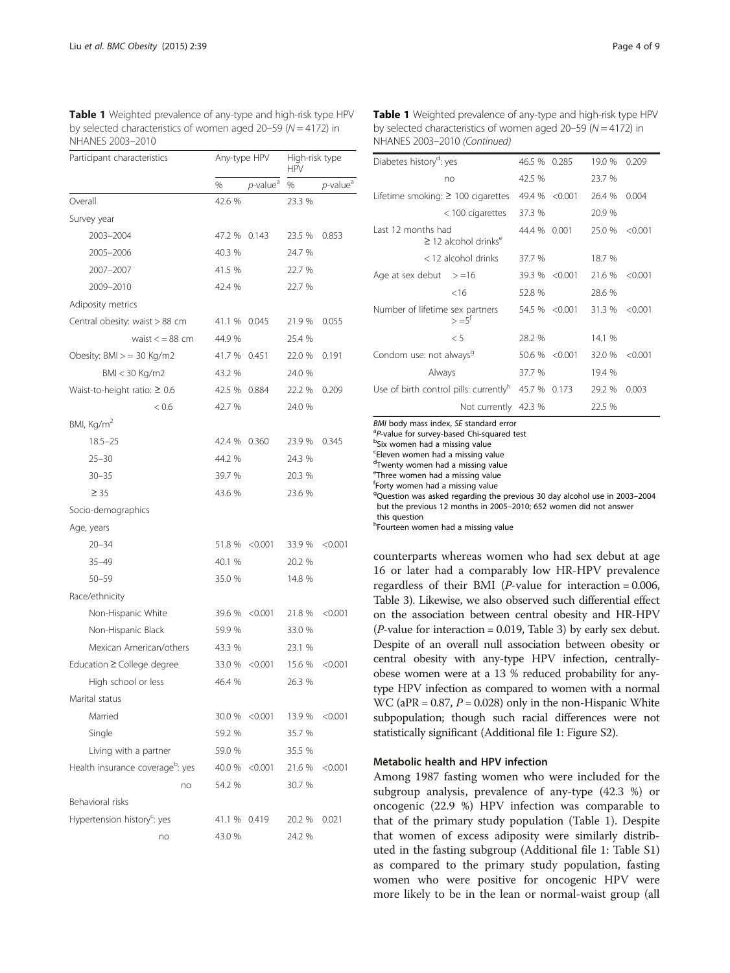<span id="page-3-0"></span>Table 1 Weighted prevalence of any-type and high-risk type HPV by selected characteristics of women aged  $20-59$  ( $N = 4172$ ) in NHANES 2003–2010

| Participant characteristics                  | Any-type HPV |                      | High-risk type<br><b>HPV</b> |                         |  |
|----------------------------------------------|--------------|----------------------|------------------------------|-------------------------|--|
|                                              | %            | p-value <sup>a</sup> | %                            | $p$ -value <sup>a</sup> |  |
| Overall                                      | 42.6 %       |                      | 23.3 %                       |                         |  |
| Survey year                                  |              |                      |                              |                         |  |
| 2003-2004                                    | 47.2 %       | 0.143                | 23.5 %                       | 0.853                   |  |
| 2005-2006                                    | 40.3 %       |                      | 24.7 %                       |                         |  |
| 2007-2007                                    | 41.5 %       |                      | 22.7 %                       |                         |  |
| 2009-2010                                    | 42.4 %       |                      | 22.7 %                       |                         |  |
| Adiposity metrics                            |              |                      |                              |                         |  |
| Central obesity: waist > 88 cm               | 41.1 %       | 0.045                | 21.9%                        | 0.055                   |  |
| waist $\lt$ = 88 cm                          | 44.9 %       |                      | 25.4 %                       |                         |  |
| Obesity: $BMI > = 30$ Kg/m2                  | 41.7 %       | 0.451                | 22.0 %                       | 0.191                   |  |
| BMI < 30 Kg/m2                               | 43.2 %       |                      | 24.0 %                       |                         |  |
| Waist-to-height ratio: $\geq 0.6$            | 42.5 %       | 0.884                | 22.2 %                       | 0.209                   |  |
| < 0.6                                        | 42.7 %       |                      | 24.0 %                       |                         |  |
| BMI, Kg/m <sup>2</sup>                       |              |                      |                              |                         |  |
| $18.5 - 25$                                  | 42.4 %       | 0.360                | 23.9 %                       | 0.345                   |  |
| $25 - 30$                                    | 44.2 %       |                      | 24.3 %                       |                         |  |
| $30 - 35$                                    | 39.7 %       |                      | 20.3 %                       |                         |  |
| $\geq 35$                                    | 43.6 %       |                      | 23.6 %                       |                         |  |
| Socio-demographics                           |              |                      |                              |                         |  |
| Age, years                                   |              |                      |                              |                         |  |
| $20 - 34$                                    | 51.8 %       | < 0.001              | 33.9 %                       | < 0.001                 |  |
| $35 - 49$                                    | 40.1 %       |                      | 20.2 %                       |                         |  |
| $50 - 59$                                    | 35.0 %       |                      | 14.8 %                       |                         |  |
| Race/ethnicity                               |              |                      |                              |                         |  |
| Non-Hispanic White                           | 39.6 %       | < 0.001              | 21.8 %                       | < 0.001                 |  |
| Non-Hispanic Black                           | 59.9 %       |                      | 33.0 %                       |                         |  |
| Mexican American/others                      | 43.3 %       |                      | 23.1 %                       |                         |  |
| Education ≥ College degree                   | 33.0 %       | < 0.001              | 15.6 %                       | < 0.001                 |  |
| High school or less                          | 46.4 %       |                      | 26.3 %                       |                         |  |
| Marital status                               |              |                      |                              |                         |  |
| Married                                      | 30.0 %       | < 0.001              | 13.9 %                       | < 0.001                 |  |
| Single                                       | 59.2 %       |                      | 35.7 %                       |                         |  |
| Living with a partner                        | 59.0 %       |                      | 35.5 %                       |                         |  |
| Health insurance coverage <sup>b</sup> : yes | 40.0 %       | < 0.001              | 21.6 %                       | < 0.001                 |  |
| no                                           | 54.2 %       |                      | 30.7 %                       |                         |  |
| Behavioral risks                             |              |                      |                              |                         |  |
| Hypertension history <sup>c</sup> : yes      | 41.1 %       | 0.419                | 20.2 %                       | 0.021                   |  |
| no                                           | 43.0 %       |                      | 24.2 %                       |                         |  |

Table 1 Weighted prevalence of any-type and high-risk type HPV by selected characteristics of women aged  $20-59$  ( $N = 4172$ ) in NHANES 2003–2010 (Continued)

| Diabetes history <sup>d</sup> : yes                         | 46.5 %               | 0.285          | 19.0 %  | 0.209   |         |
|-------------------------------------------------------------|----------------------|----------------|---------|---------|---------|
|                                                             | no                   | 42.5 %         |         | 23.7 %  |         |
| Lifetime smoking: $\geq$ 100 cigarettes                     |                      | 49.4 %         | < 0.001 | 26.4 %  | 0.004   |
|                                                             | $<$ 100 cigarettes   | 37.3 %         |         | 20.9 %  |         |
| Last 12 months had<br>$\geq$ 12 alcohol drinks <sup>e</sup> | 44.4 % 0.001         |                | 25.0 %  | < 0.001 |         |
|                                                             | < 12 alcohol drinks  | 37.7 %         |         | 18.7 %  |         |
| Age at sex debut $> = 16$                                   |                      | 39.3 % < 0.001 |         | 21.6 %  | < 0.001 |
|                                                             | $<$ 16               | 52.8 %         |         | 28.6 %  |         |
| Number of lifetime sex partners<br>$> = 5^{\dagger}$        |                      | 54.5 % < 0.001 |         | 31.3 %  | < 0.001 |
|                                                             | $\leq 5$             | 28.2 %         |         | 14.1 %  |         |
| Condom use: not always <sup>9</sup>                         | 50.6 %               | < 0.001        | 32.0 %  | < 0.001 |         |
| Always                                                      |                      | 37.7 %         |         | 19.4 %  |         |
| Use of birth control pills: currently <sup>h</sup>          | 45.7 % 0.173         |                | 29.2 %  | 0.003   |         |
|                                                             | Not currently 42.3 % |                |         | 22.5 %  |         |

BMI body mass index, SE standard error

<sup>a</sup>P-value for survey-based Chi-squared test

<sup>b</sup>Six women had a missing value

c Eleven women had a missing value

dTwenty women had a missing value

e Three women had a missing value

f Forty women had a missing value

<sup>9</sup>Question was asked regarding the previous 30 day alcohol use in 2003-2004 but the previous 12 months in 2005–2010; 652 women did not answer this question

hFourteen women had a missing value

counterparts whereas women who had sex debut at age 16 or later had a comparably low HR-HPV prevalence regardless of their BMI ( $P$ -value for interaction = 0.006, Table [3\)](#page-5-0). Likewise, we also observed such differential effect on the association between central obesity and HR-HPV ( $P$ -value for interaction = 0.019, Table [3](#page-5-0)) by early sex debut. Despite of an overall null association between obesity or central obesity with any-type HPV infection, centrallyobese women were at a 13 % reduced probability for anytype HPV infection as compared to women with a normal WC (aPR =  $0.87$ ,  $P = 0.028$ ) only in the non-Hispanic White subpopulation; though such racial differences were not statistically significant (Additional file [1](#page-6-0): Figure S2).

# Metabolic health and HPV infection

Among 1987 fasting women who were included for the subgroup analysis, prevalence of any-type (42.3 %) or oncogenic (22.9 %) HPV infection was comparable to that of the primary study population (Table 1). Despite that women of excess adiposity were similarly distributed in the fasting subgroup (Additional file [1:](#page-6-0) Table S1) as compared to the primary study population, fasting women who were positive for oncogenic HPV were more likely to be in the lean or normal-waist group (all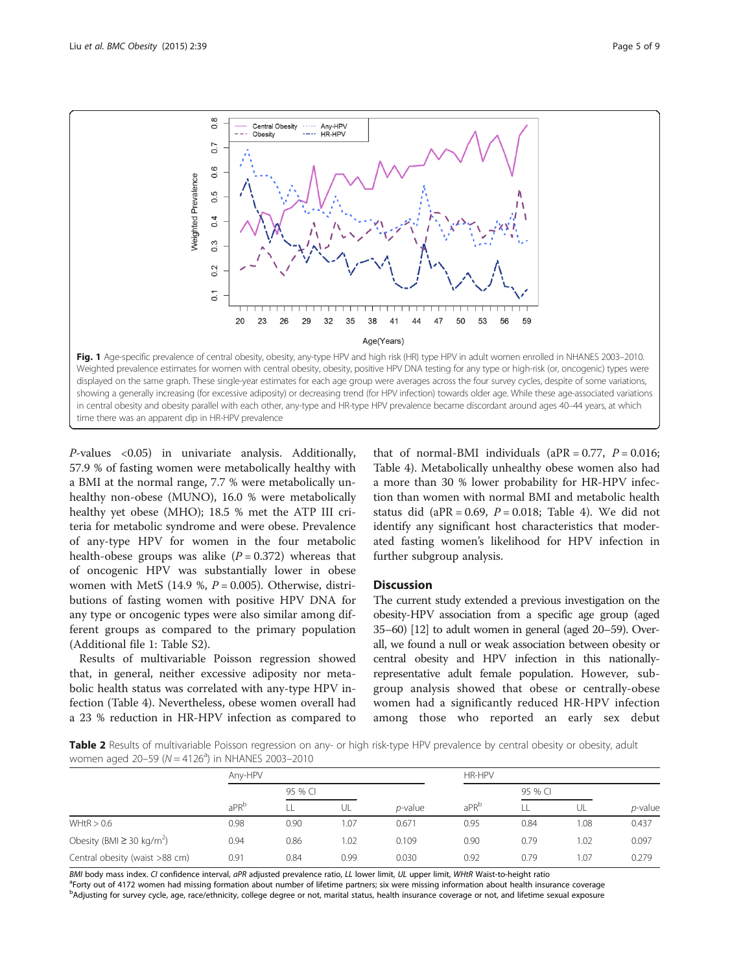<span id="page-4-0"></span>

P-values <0.05) in univariate analysis. Additionally, 57.9 % of fasting women were metabolically healthy with a BMI at the normal range, 7.7 % were metabolically unhealthy non-obese (MUNO), 16.0 % were metabolically healthy yet obese (MHO); 18.5 % met the ATP III criteria for metabolic syndrome and were obese. Prevalence of any-type HPV for women in the four metabolic health-obese groups was alike  $(P = 0.372)$  whereas that of oncogenic HPV was substantially lower in obese women with MetS (14.9 %,  $P = 0.005$ ). Otherwise, distributions of fasting women with positive HPV DNA for any type or oncogenic types were also similar among different groups as compared to the primary population (Additional file [1](#page-6-0): Table S2).

Results of multivariable Poisson regression showed that, in general, neither excessive adiposity nor metabolic health status was correlated with any-type HPV infection (Table [4](#page-5-0)). Nevertheless, obese women overall had a 23 % reduction in HR-HPV infection as compared to that of normal-BMI individuals ( $aPR = 0.77$ ,  $P = 0.016$ ; Table [4](#page-5-0)). Metabolically unhealthy obese women also had a more than 30 % lower probability for HR-HPV infection than women with normal BMI and metabolic health status did (aPR =  $0.69$ ,  $P = 0.018$ ; Table [4](#page-5-0)). We did not identify any significant host characteristics that moderated fasting women's likelihood for HPV infection in further subgroup analysis.

# **Discussion**

The current study extended a previous investigation on the obesity-HPV association from a specific age group (aged 35–60) [\[12](#page-7-0)] to adult women in general (aged 20–59). Overall, we found a null or weak association between obesity or central obesity and HPV infection in this nationallyrepresentative adult female population. However, subgroup analysis showed that obese or centrally-obese women had a significantly reduced HR-HPV infection among those who reported an early sex debut

Table 2 Results of multivariable Poisson regression on any- or high risk-type HPV prevalence by central obesity or obesity, adult women aged 20–59 ( $N = 4126<sup>a</sup>$ ) in NHANES 2003–2010

|                                            | Any-HPV          |         |      |                 | HR-HPV           |         |       |                 |
|--------------------------------------------|------------------|---------|------|-----------------|------------------|---------|-------|-----------------|
|                                            | aPR <sup>b</sup> | 95 % CI |      |                 |                  | 95 % CI |       |                 |
|                                            |                  |         | UL   | <i>p</i> -value | aPR <sup>b</sup> |         | UL    | <i>p</i> -value |
| WHtR > 0.6                                 | 0.98             | 0.90    | 1.07 | 0.671           | 0.95             | 0.84    | 0.08  | 0.437           |
| Obesity (BMI $\geq$ 30 kg/m <sup>2</sup> ) | 0.94             | 0.86    | 1.02 | 0.109           | 0.90             | 0.79    | 1.02  | 0.097           |
| Central obesity (waist >88 cm)             | 0.91             | 0.84    | 0.99 | 0.030           | 0.92             | 0.79    | l .07 | 0.279           |

BMI body mass index. CI confidence interval, aPR adjusted prevalence ratio, LL lower limit, UL upper limit, WHtR Waist-to-height ratio <sup>a</sup>Forty out of 4172 women had missing formation about number of lifetime partners; six were missing information about health insurance coverage b<br>Adjusting for survey cycle, age, race/ethnicity, college degree or not, marital status, health insurance coverage or not, and lifetime sexual exposure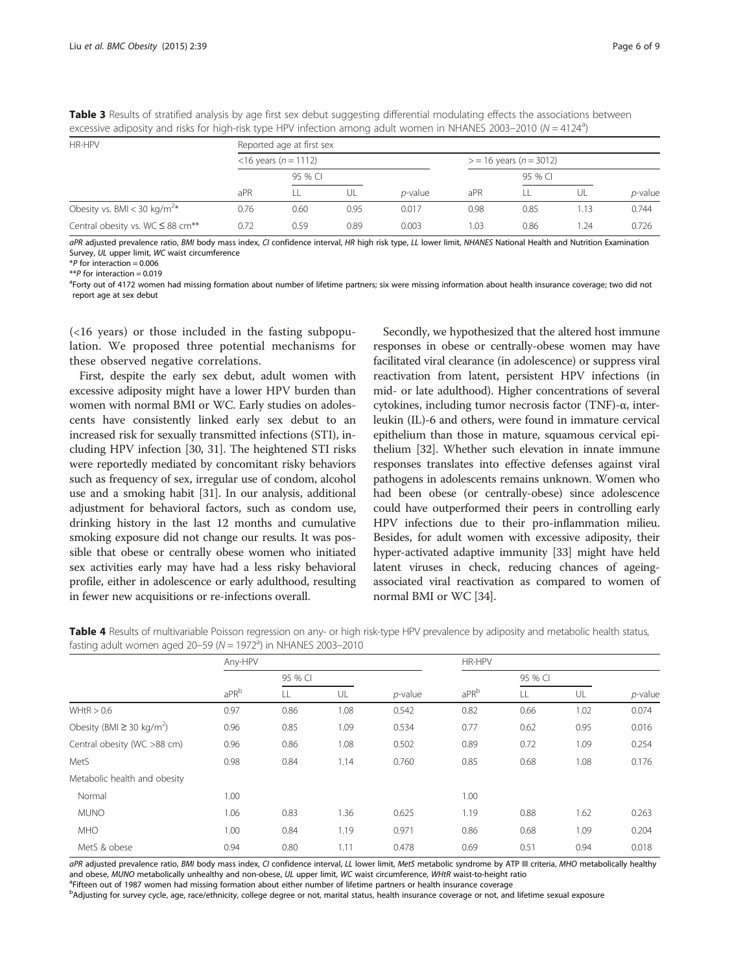<span id="page-5-0"></span>Table 3 Results of stratified analysis by age first sex debut suggesting differential modulating effects the associations between excessive adiposity and risks for high-risk type HPV infection among adult women in NHANES 2003-2010 ( $N = 4124^a$ )

| HR-HPV                                            | Reported age at first sex |                         |      |                 |                           |         |       |                 |
|---------------------------------------------------|---------------------------|-------------------------|------|-----------------|---------------------------|---------|-------|-----------------|
|                                                   |                           | $<$ 16 years (n = 1112) |      |                 | $>$ = 16 years (n = 3012) |         |       |                 |
|                                                   |                           | 95 % CI                 |      |                 |                           | 95 % CI |       |                 |
|                                                   | aPR                       |                         | UL   | <i>p</i> -value | aPR                       |         | UL    | <i>p</i> -value |
| Obesity vs. BMI < 30 kg/m <sup>2*</sup>           | 0.76                      | 0.60                    | 0.95 | 0.017           | 0.98                      | 0.85    | r. 13 | 0.744           |
| Central obesity vs. WC $\leq$ 88 cm <sup>**</sup> | 0.72                      | 0.59                    | 0.89 | 0.003           | 1.03                      | 0.86    | .24   | 0.726           |

aPR adjusted prevalence ratio, BMI body mass index, CI confidence interval, HR high risk type, LL lower limit, NHANES National Health and Nutrition Examination Survey, UL upper limit, WC waist circumference

\**P* for interaction = 0.006<br>\*\**P* for interaction = 0.019

\*\*P for interaction = 0.019<br><sup>a</sup>Forty out of 4172 women had missing formation about number of lifetime partners; six were missing information about health insurance coverage; two did not report age at sex debut

(<16 years) or those included in the fasting subpopulation. We proposed three potential mechanisms for these observed negative correlations.

First, despite the early sex debut, adult women with excessive adiposity might have a lower HPV burden than women with normal BMI or WC. Early studies on adolescents have consistently linked early sex debut to an increased risk for sexually transmitted infections (STI), including HPV infection [\[30, 31](#page-7-0)]. The heightened STI risks were reportedly mediated by concomitant risky behaviors such as frequency of sex, irregular use of condom, alcohol use and a smoking habit [\[31](#page-7-0)]. In our analysis, additional adjustment for behavioral factors, such as condom use, drinking history in the last 12 months and cumulative smoking exposure did not change our results. It was possible that obese or centrally obese women who initiated sex activities early may have had a less risky behavioral profile, either in adolescence or early adulthood, resulting in fewer new acquisitions or re-infections overall.

Secondly, we hypothesized that the altered host immune responses in obese or centrally-obese women may have facilitated viral clearance (in adolescence) or suppress viral reactivation from latent, persistent HPV infections (in mid- or late adulthood). Higher concentrations of several cytokines, including tumor necrosis factor (TNF)-α, interleukin (IL)-6 and others, were found in immature cervical epithelium than those in mature, squamous cervical epithelium [[32](#page-7-0)]. Whether such elevation in innate immune responses translates into effective defenses against viral pathogens in adolescents remains unknown. Women who had been obese (or centrally-obese) since adolescence could have outperformed their peers in controlling early HPV infections due to their pro-inflammation milieu. Besides, for adult women with excessive adiposity, their hyper-activated adaptive immunity [\[33\]](#page-7-0) might have held latent viruses in check, reducing chances of ageingassociated viral reactivation as compared to women of normal BMI or WC [\[34\]](#page-7-0).

| Table 4 Results of multivariable Poisson regression on any- or high risk-type HPV prevalence by adiposity and metabolic health status, |  |
|----------------------------------------------------------------------------------------------------------------------------------------|--|
| fasting adult women aged 20–59 (N = 1972 <sup>a</sup> ) in NHANES 2003–2010                                                            |  |

|                                            | Any-HPV |         |      |            | HR-HPV           |         |      |            |
|--------------------------------------------|---------|---------|------|------------|------------------|---------|------|------------|
|                                            | aPRb    | 95 % CI |      |            |                  | 95 % CI |      |            |
|                                            |         | LL      | UL   | $p$ -value | aPR <sup>b</sup> | LL      | UL   | $p$ -value |
| WHtR > 0.6                                 | 0.97    | 0.86    | 1.08 | 0.542      | 0.82             | 0.66    | 1.02 | 0.074      |
| Obesity (BMI $\geq$ 30 kg/m <sup>2</sup> ) | 0.96    | 0.85    | 1.09 | 0.534      | 0.77             | 0.62    | 0.95 | 0.016      |
| Central obesity (WC >88 cm)                | 0.96    | 0.86    | 1.08 | 0.502      | 0.89             | 0.72    | 1.09 | 0.254      |
| MetS                                       | 0.98    | 0.84    | 1.14 | 0.760      | 0.85             | 0.68    | 1.08 | 0.176      |
| Metabolic health and obesity               |         |         |      |            |                  |         |      |            |
| Normal                                     | 1.00    |         |      |            | 1.00             |         |      |            |
| <b>MUNO</b>                                | 1.06    | 0.83    | 1.36 | 0.625      | 1.19             | 0.88    | 1.62 | 0.263      |
| <b>MHO</b>                                 | 1.00    | 0.84    | 1.19 | 0.971      | 0.86             | 0.68    | 1.09 | 0.204      |
| MetS & obese                               | 0.94    | 0.80    | 1.11 | 0.478      | 0.69             | 0.51    | 0.94 | 0.018      |

aPR adjusted prevalence ratio, BMI body mass index, CI confidence interval, LL lower limit, MetS metabolic syndrome by ATP III criteria, MHO metabolically healthy and obese, MUNO metabolically unhealthy and non-obese, UL upper limit, WC waist circumference, WHtR waist-to-height ratio <sup>a</sup>Fifteen out of 1987 women had missing formation about either number of lifetime partners or health insurance coverage

b<br>Adjusting for survey cycle, age, race/ethnicity, college degree or not, marital status, health insurance coverage or not, and lifetime sexual exposure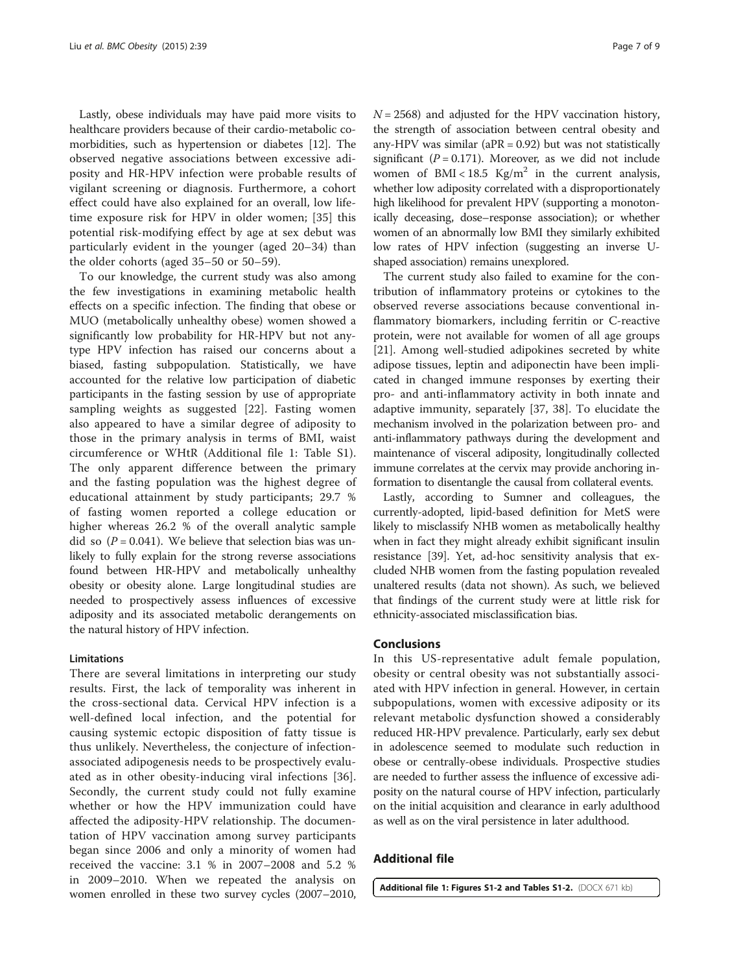<span id="page-6-0"></span>Lastly, obese individuals may have paid more visits to healthcare providers because of their cardio-metabolic comorbidities, such as hypertension or diabetes [\[12\]](#page-7-0). The observed negative associations between excessive adiposity and HR-HPV infection were probable results of vigilant screening or diagnosis. Furthermore, a cohort effect could have also explained for an overall, low lifetime exposure risk for HPV in older women; [\[35](#page-7-0)] this potential risk-modifying effect by age at sex debut was particularly evident in the younger (aged 20–34) than the older cohorts (aged 35–50 or 50–59).

To our knowledge, the current study was also among the few investigations in examining metabolic health effects on a specific infection. The finding that obese or MUO (metabolically unhealthy obese) women showed a significantly low probability for HR-HPV but not anytype HPV infection has raised our concerns about a biased, fasting subpopulation. Statistically, we have accounted for the relative low participation of diabetic participants in the fasting session by use of appropriate sampling weights as suggested [[22\]](#page-7-0). Fasting women also appeared to have a similar degree of adiposity to those in the primary analysis in terms of BMI, waist circumference or WHtR (Additional file 1: Table S1). The only apparent difference between the primary and the fasting population was the highest degree of educational attainment by study participants; 29.7 % of fasting women reported a college education or higher whereas 26.2 % of the overall analytic sample did so  $(P = 0.041)$ . We believe that selection bias was unlikely to fully explain for the strong reverse associations found between HR-HPV and metabolically unhealthy obesity or obesity alone. Large longitudinal studies are needed to prospectively assess influences of excessive adiposity and its associated metabolic derangements on the natural history of HPV infection.

#### Limitations

There are several limitations in interpreting our study results. First, the lack of temporality was inherent in the cross-sectional data. Cervical HPV infection is a well-defined local infection, and the potential for causing systemic ectopic disposition of fatty tissue is thus unlikely. Nevertheless, the conjecture of infectionassociated adipogenesis needs to be prospectively evaluated as in other obesity-inducing viral infections [\[36](#page-7-0)]. Secondly, the current study could not fully examine whether or how the HPV immunization could have affected the adiposity-HPV relationship. The documentation of HPV vaccination among survey participants began since 2006 and only a minority of women had received the vaccine: 3.1 % in 2007–2008 and 5.2 % in 2009–2010. When we repeated the analysis on women enrolled in these two survey cycles (2007–2010,  $N = 2568$ ) and adjusted for the HPV vaccination history, the strength of association between central obesity and any-HPV was similar ( $aPR = 0.92$ ) but was not statistically significant ( $P = 0.171$ ). Moreover, as we did not include women of BMI <  $18.5$  Kg/m<sup>2</sup> in the current analysis, whether low adiposity correlated with a disproportionately high likelihood for prevalent HPV (supporting a monotonically deceasing, dose–response association); or whether women of an abnormally low BMI they similarly exhibited low rates of HPV infection (suggesting an inverse Ushaped association) remains unexplored.

The current study also failed to examine for the contribution of inflammatory proteins or cytokines to the observed reverse associations because conventional inflammatory biomarkers, including ferritin or C-reactive protein, were not available for women of all age groups [[21\]](#page-7-0). Among well-studied adipokines secreted by white adipose tissues, leptin and adiponectin have been implicated in changed immune responses by exerting their pro- and anti-inflammatory activity in both innate and adaptive immunity, separately [\[37](#page-8-0), [38\]](#page-8-0). To elucidate the mechanism involved in the polarization between pro- and anti-inflammatory pathways during the development and maintenance of visceral adiposity, longitudinally collected immune correlates at the cervix may provide anchoring information to disentangle the causal from collateral events.

Lastly, according to Sumner and colleagues, the currently-adopted, lipid-based definition for MetS were likely to misclassify NHB women as metabolically healthy when in fact they might already exhibit significant insulin resistance [\[39\]](#page-8-0). Yet, ad-hoc sensitivity analysis that excluded NHB women from the fasting population revealed unaltered results (data not shown). As such, we believed that findings of the current study were at little risk for ethnicity-associated misclassification bias.

#### Conclusions

In this US-representative adult female population, obesity or central obesity was not substantially associated with HPV infection in general. However, in certain subpopulations, women with excessive adiposity or its relevant metabolic dysfunction showed a considerably reduced HR-HPV prevalence. Particularly, early sex debut in adolescence seemed to modulate such reduction in obese or centrally-obese individuals. Prospective studies are needed to further assess the influence of excessive adiposity on the natural course of HPV infection, particularly on the initial acquisition and clearance in early adulthood as well as on the viral persistence in later adulthood.

# Additional file

[Additional file 1: Figures S1-2 and Tables S1-2.](http://www.biomedcentral.com/content/supplementary/s40608-015-0071-3-s1.docx) (DOCX 671 kb)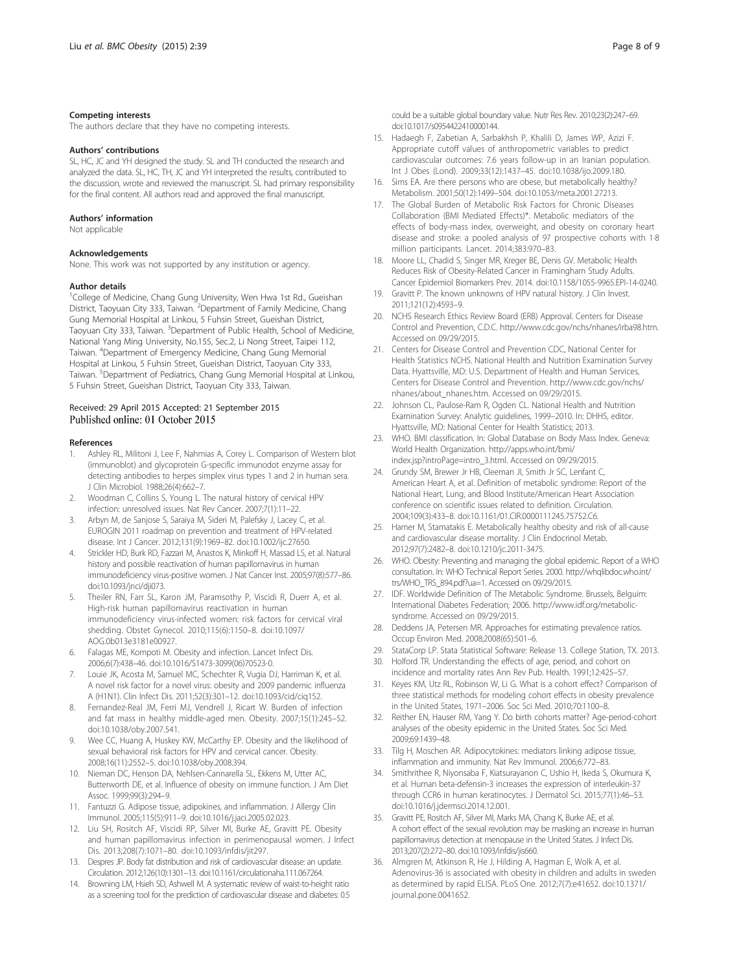#### <span id="page-7-0"></span>Competing interests

The authors declare that they have no competing interests.

#### Authors' contributions

SL, HC, JC and YH designed the study. SL and TH conducted the research and analyzed the data. SL, HC, TH, JC and YH interpreted the results, contributed to the discussion, wrote and reviewed the manuscript. SL had primary responsibility for the final content. All authors read and approved the final manuscript.

#### Authors' information

Not applicable

### Acknowledgements

None. This work was not supported by any institution or agency.

#### Author details

<sup>1</sup>College of Medicine, Chang Gung University, Wen Hwa 1st Rd., Gueishan District, Taoyuan City 333, Taiwan. <sup>2</sup>Department of Family Medicine, Chang Gung Memorial Hospital at Linkou, 5 Fuhsin Street, Gueishan District, Taoyuan City 333, Taiwan. <sup>3</sup>Department of Public Health, School of Medicine, National Yang Ming University, No.155, Sec.2, Li Nong Street, Taipei 112, Taiwan. <sup>4</sup> Department of Emergency Medicine, Chang Gung Memorial Hospital at Linkou, 5 Fuhsin Street, Gueishan District, Taoyuan City 333, Taiwan. <sup>5</sup>Department of Pediatrics, Chang Gung Memorial Hospital at Linkou, 5 Fuhsin Street, Gueishan District, Taoyuan City 333, Taiwan.

# Received: 29 April 2015 Accepted: 21 September 2015

#### References

- Ashley RL, Militoni J, Lee F, Nahmias A, Corey L. Comparison of Western blot (immunoblot) and glycoprotein G-specific immunodot enzyme assay for detecting antibodies to herpes simplex virus types 1 and 2 in human sera. J Clin Microbiol. 1988;26(4):662–7.
- 2. Woodman C, Collins S, Young L. The natural history of cervical HPV infection: unresolved issues. Nat Rev Cancer. 2007;7(1):11–22.
- 3. Arbyn M, de Sanjose S, Saraiya M, Sideri M, Palefsky J, Lacey C, et al. EUROGIN 2011 roadmap on prevention and treatment of HPV-related disease. Int J Cancer. 2012;131(9):1969–82. doi:[10.1002/ijc.27650](http://dx.doi.org/10.1002/ijc.27650).
- Strickler HD, Burk RD, Fazzari M, Anastos K, Minkoff H, Massad LS, et al. Natural history and possible reactivation of human papillomavirus in human immunodeficiency virus-positive women. J Nat Cancer Inst. 2005;97(8):577–86. doi:[10.1093/jnci/dji073](http://dx.doi.org/10.1093/jnci/dji073).
- Theiler RN, Farr SL, Karon JM, Paramsothy P, Viscidi R, Duerr A, et al. High-risk human papillomavirus reactivation in human immunodeficiency virus-infected women: risk factors for cervical viral shedding. Obstet Gynecol. 2010;115(6):1150–8. doi:[10.1097/](http://dx.doi.org/10.1097/AOG.0b013e3181e00927) [AOG.0b013e3181e00927](http://dx.doi.org/10.1097/AOG.0b013e3181e00927).
- 6. Falagas ME, Kompoti M. Obesity and infection. Lancet Infect Dis. 2006;6(7):438–46. doi[:10.1016/S1473-3099\(06\)70523-0](http://dx.doi.org/10.1016/S1473-3099(06)70523-0).
- 7. Louie JK, Acosta M, Samuel MC, Schechter R, Vugia DJ, Harriman K, et al. A novel risk factor for a novel virus: obesity and 2009 pandemic influenza A (H1N1). Clin Infect Dis. 2011;52(3):301–12. doi:[10.1093/cid/ciq152.](http://dx.doi.org/10.1093/cid/ciq152)
- 8. Fernandez-Real JM, Ferri MJ, Vendrell J, Ricart W. Burden of infection and fat mass in healthy middle-aged men. Obesity. 2007;15(1):245–52. doi[:10.1038/oby.2007.541](http://dx.doi.org/10.1038/oby.2007.541).
- 9. Wee CC, Huang A, Huskey KW, McCarthy EP. Obesity and the likelihood of sexual behavioral risk factors for HPV and cervical cancer. Obesity. 2008;16(11):2552–5. doi[:10.1038/oby.2008.394](http://dx.doi.org/10.1038/oby.2008.394).
- 10. Nieman DC, Henson DA, Nehlsen-Cannarella SL, Ekkens M, Utter AC, Butterworth DE, et al. Influence of obesity on immune function. J Am Diet Assoc. 1999;99(3):294–9.
- 11. Fantuzzi G. Adipose tissue, adipokines, and inflammation. J Allergy Clin Immunol. 2005;115(5):911–9. doi[:10.1016/j.jaci.2005.02.023](http://dx.doi.org/10.1016/j.jaci.2005.02.023).
- 12. Liu SH, Rositch AF, Viscidi RP, Silver MI, Burke AE, Gravitt PE. Obesity and human papillomavirus infection in perimenopausal women. J Infect Dis. 2013;208(7):1071–80. doi:[10.1093/infdis/jit297.](http://dx.doi.org/10.1093/infdis/jit297)
- 13. Despres JP. Body fat distribution and risk of cardiovascular disease: an update. Circulation. 2012;126(10):1301–13. doi[:10.1161/circulationaha.111.067264.](http://dx.doi.org/10.1161/circulationaha.111.067264)
- 14. Browning LM, Hsieh SD, Ashwell M. A systematic review of waist-to-height ratio as a screening tool for the prediction of cardiovascular disease and diabetes: 0.5

could be a suitable global boundary value. Nutr Res Rev. 2010;23(2):247–69. doi[:10.1017/s0954422410000144.](http://dx.doi.org/10.1017/s0954422410000144)

- 15. Hadaegh F, Zabetian A, Sarbakhsh P, Khalili D, James WP, Azizi F. Appropriate cutoff values of anthropometric variables to predict cardiovascular outcomes: 7.6 years follow-up in an Iranian population. Int J Obes (Lond). 2009;33(12):1437–45. doi[:10.1038/ijo.2009.180](http://dx.doi.org/10.1038/ijo.2009.180).
- 16. Sims EA. Are there persons who are obese, but metabolically healthy? Metabolism. 2001;50(12):1499–504. doi:[10.1053/meta.2001.27213](http://dx.doi.org/10.1053/meta.2001.27213).
- 17. The Global Burden of Metabolic Risk Factors for Chronic Diseases Collaboration (BMI Mediated Effects)\*. Metabolic mediators of the effects of body-mass index, overweight, and obesity on coronary heart disease and stroke: a pooled analysis of 97 prospective cohorts with 1·8 million participants. Lancet. 2014;383:970–83.
- 18. Moore LL, Chadid S, Singer MR, Kreger BE, Denis GV. Metabolic Health Reduces Risk of Obesity-Related Cancer in Framingham Study Adults. Cancer Epidemiol Biomarkers Prev. 2014. doi:[10.1158/1055-9965.EPI-14-0240.](http://dx.doi.org/10.1158/1055-9965.EPI-14-0240)
- 19. Gravitt P. The known unknowns of HPV natural history. J Clin Invest. 2011;121(12):4593–9.
- 20. NCHS Research Ethics Review Board (ERB) Approval. Centers for Disease Control and Prevention, C.D.C.<http://www.cdc.gov/nchs/nhanes/irba98.htm>. Accessed on 09/29/2015.
- 21. Centers for Disease Control and Prevention CDC, National Center for Health Statistics NCHS. National Health and Nutrition Examination Survey Data. Hyattsville, MD: U.S. Department of Health and Human Services, Centers for Disease Control and Prevention. [http://www.cdc.gov/nchs/](http://www.cdc.gov/nchs/nhanes/about_nhanes.htm) [nhanes/about\\_nhanes.htm](http://www.cdc.gov/nchs/nhanes/about_nhanes.htm). Accessed on 09/29/2015.
- 22. Johnson CL, Paulose-Ram R, Ogden CL. National Health and Nutrition Examination Survey: Analytic guidelines, 1999–2010. In: DHHS, editor. Hyattsville, MD: National Center for Health Statistics; 2013.
- 23. WHO. BMI classification. In: Global Database on Body Mass Index. Geneva: World Health Organization. [http://apps.who.int/bmi/](http://apps.who.int/bmi/index.jsp?introPage=intro_3.html) [index.jsp?introPage=intro\\_3.html](http://apps.who.int/bmi/index.jsp?introPage=intro_3.html). Accessed on 09/29/2015.
- 24. Grundy SM, Brewer Jr HB, Cleeman JI, Smith Jr SC, Lenfant C, American Heart A, et al. Definition of metabolic syndrome: Report of the National Heart, Lung, and Blood Institute/American Heart Association conference on scientific issues related to definition. Circulation. 2004;109(3):433–8. doi:[10.1161/01.CIR.0000111245.75752.C6](http://dx.doi.org/10.1161/01.CIR.0000111245.75752.C6).
- 25. Hamer M, Stamatakis E. Metabolically healthy obesity and risk of all-cause and cardiovascular disease mortality. J Clin Endocrinol Metab. 2012;97(7):2482–8. doi:[10.1210/jc.2011-3475](http://dx.doi.org/10.1210/jc.2011-3475).
- 26. WHO. Obesity: Preventing and managing the global epidemic. Report of a WHO consultation. In: WHO Technical Report Series. 2000. [http://whqlibdoc.who.int/](http://whqlibdoc.who.int/trs/WHO_TRS_894.pdf?ua=1) [trs/WHO\\_TRS\\_894.pdf?ua=1.](http://whqlibdoc.who.int/trs/WHO_TRS_894.pdf?ua=1) Accessed on 09/29/2015.
- 27. IDF. Worldwide Definition of The Metabolic Syndrome. Brussels, Belguim: International Diabetes Federation; 2006. [http://www.idf.org/metabolic](http://www.idf.org/metabolic-syndrome)[syndrome](http://www.idf.org/metabolic-syndrome). Accessed on 09/29/2015.
- 28. Deddens JA, Petersen MR. Approaches for estimating prevalence ratios. Occup Environ Med. 2008;2008(65):501–6.
- 29. StataCorp LP. Stata Statistical Software: Release 13. College Station, TX. 2013.
- 30. Holford TR. Understanding the effects of age, period, and cohort on incidence and mortality rates Ann Rev Pub. Health. 1991;12:425–57.
- 31. Keyes KM, Utz RL, Robinson W, Li G. What is a cohort effect? Comparison of three statistical methods for modeling cohort effects in obesity prevalence in the United States, 1971–2006. Soc Sci Med. 2010;70:1100–8.
- 32. Reither EN, Hauser RM, Yang Y. Do birth cohorts matter? Age-period-cohort analyses of the obesity epidemic in the United States. Soc Sci Med. 2009;69:1439–48.
- 33. Tilg H, Moschen AR. Adipocytokines: mediators linking adipose tissue, inflammation and immunity. Nat Rev Immunol. 2006;6:772–83.
- 34. Smithrithee R, Niyonsaba F, Kiatsurayanon C, Ushio H, Ikeda S, Okumura K, et al. Human beta-defensin-3 increases the expression of interleukin-37 through CCR6 in human keratinocytes. J Dermatol Sci. 2015;77(1):46–53. doi[:10.1016/j.jdermsci.2014.12.001.](http://dx.doi.org/10.1016/j.jdermsci.2014.12.001)
- 35. Gravitt PE, Rositch AF, Silver MI, Marks MA, Chang K, Burke AE, et al. A cohort effect of the sexual revolution may be masking an increase in human papillomavirus detection at menopause in the United States. J Infect Dis. 2013;207(2):272–80. doi:[10.1093/infdis/jis660.](http://dx.doi.org/10.1093/infdis/jis660)
- 36. Almgren M, Atkinson R, He J, Hilding A, Hagman E, Wolk A, et al. Adenovirus-36 is associated with obesity in children and adults in sweden as determined by rapid ELISA. PLoS One. 2012;7(7):e41652. doi[:10.1371/](http://dx.doi.org/10.1371/journal.pone.0041652) [journal.pone.0041652](http://dx.doi.org/10.1371/journal.pone.0041652).